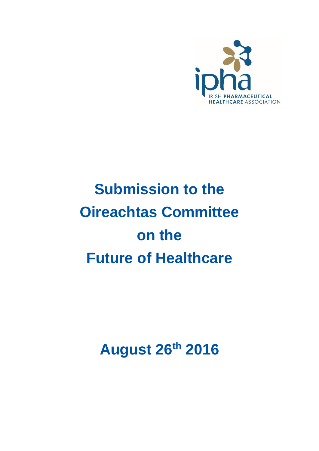

# **Submission to the Oireachtas Committee on the Future of Healthcare**

**August 26th 2016**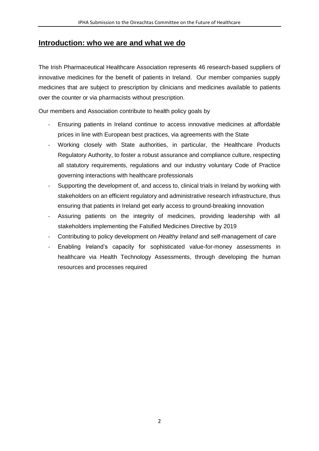#### **Introduction: who we are and what we do**

The Irish Pharmaceutical Healthcare Association represents 46 research-based suppliers of innovative medicines for the benefit of patients in Ireland. Our member companies supply medicines that are subject to prescription by clinicians and medicines available to patients over the counter or via pharmacists without prescription.

Our members and Association contribute to health policy goals by

- Ensuring patients in Ireland continue to access innovative medicines at affordable prices in line with European best practices, via agreements with the State
- Working closely with State authorities, in particular, the Healthcare Products Regulatory Authority, to foster a robust assurance and compliance culture, respecting all statutory requirements, regulations and our industry voluntary Code of Practice governing interactions with healthcare professionals
- Supporting the development of, and access to, clinical trials in Ireland by working with stakeholders on an efficient regulatory and administrative research infrastructure, thus ensuring that patients in Ireland get early access to ground-breaking innovation
- Assuring patients on the integrity of medicines, providing leadership with all stakeholders implementing the Falsified Medicines Directive by 2019
- Contributing to policy development on *Healthy Ireland* and self-management of care
- Enabling Ireland's capacity for sophisticated value-for-money assessments in healthcare via Health Technology Assessments, through developing the human resources and processes required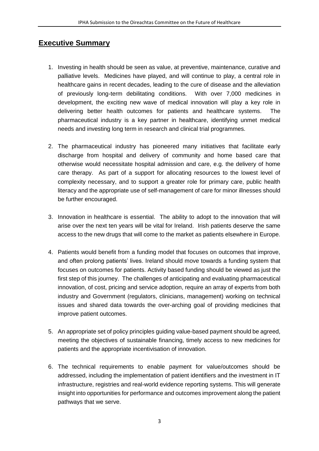## **Executive Summary**

- 1. Investing in health should be seen as value, at preventive, maintenance, curative and palliative levels. Medicines have played, and will continue to play, a central role in healthcare gains in recent decades, leading to the cure of disease and the alleviation of previously long-term debilitating conditions. With over 7,000 medicines in development, the exciting new wave of medical innovation will play a key role in delivering better health outcomes for patients and healthcare systems. The pharmaceutical industry is a key partner in healthcare, identifying unmet medical needs and investing long term in research and clinical trial programmes.
- 2. The pharmaceutical industry has pioneered many initiatives that facilitate early discharge from hospital and delivery of community and home based care that otherwise would necessitate hospital admission and care, e.g. the delivery of home care therapy. As part of a support for allocating resources to the lowest level of complexity necessary, and to support a greater role for primary care, public health literacy and the appropriate use of self-management of care for minor illnesses should be further encouraged.
- 3. Innovation in healthcare is essential. The ability to adopt to the innovation that will arise over the next ten years will be vital for Ireland. Irish patients deserve the same access to the new drugs that will come to the market as patients elsewhere in Europe.
- 4. Patients would benefit from a funding model that focuses on outcomes that improve, and often prolong patients' lives. Ireland should move towards a funding system that focuses on outcomes for patients. Activity based funding should be viewed as just the first step of this journey. The challenges of anticipating and evaluating pharmaceutical innovation, of cost, pricing and service adoption, require an array of experts from both industry and Government (regulators, clinicians, management) working on technical issues and shared data towards the over-arching goal of providing medicines that improve patient outcomes.
- 5. An appropriate set of policy principles guiding value-based payment should be agreed, meeting the objectives of sustainable financing, timely access to new medicines for patients and the appropriate incentivisation of innovation.
- 6. The technical requirements to enable payment for value/outcomes should be addressed, including the implementation of patient identifiers and the investment in IT infrastructure, registries and real-world evidence reporting systems. This will generate insight into opportunities for performance and outcomes improvement along the patient pathways that we serve.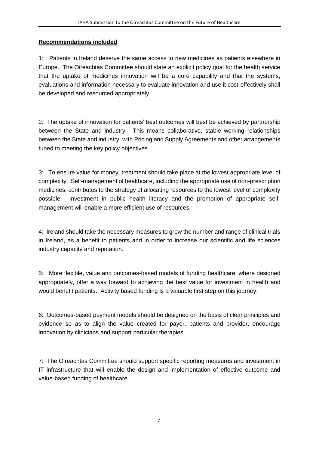#### **Recommendations included**

1: Patients in Ireland deserve the same access to new medicines as patients elsewhere in Europe. The Oireachtas Committee should state an explicit policy goal for the health service that the uptake of medicines innovation will be a core capability and that the systems, evaluations and information necessary to evaluate innovation and use it cost-effectively shall be developed and resourced appropriately.

2: The uptake of innovation for patients' best outcomes will best be achieved by partnership between the State and industry. This means collaborative, stable working relationships between the State and industry, with Pricing and Supply Agreements and other arrangements tuned to meeting the key policy objectives.

3: To ensure value for money, treatment should take place at the lowest appropriate level of complexity. Self-management of healthcare, including the appropriate use of non-prescription medicines, contributes to the strategy of allocating resources to the lowest level of complexity possible. Investment in public health literacy and the promotion of appropriate selfmanagement will enable a more efficient use of resources.

4: Ireland should take the necessary measures to grow the number and range of clinical trials in Ireland, as a benefit to patients and in order to increase our scientific and life sciences industry capacity and reputation.

5: More flexible, value and outcomes-based models of funding healthcare, where designed appropriately, offer a way forward to achieving the best value for investment in health and would benefit patients. Activity based funding is a valuable first step on this journey.

6: Outcomes-based payment models should be designed on the basis of clear principles and evidence so as to align the value created for payor, patients and provider, encourage innovation by clinicians and support particular therapies.

7: The Oireachtas Committee should support specific reporting measures and investment in IT infrastructure that will enable the design and implementation of effective outcome and value-based funding of healthcare.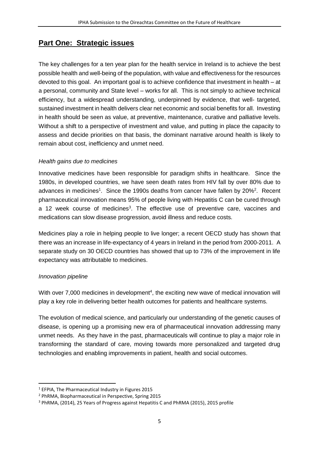## **Part One: Strategic issues**

The key challenges for a ten year plan for the health service in Ireland is to achieve the best possible health and well-being of the population, with value and effectiveness for the resources devoted to this goal. An important goal is to achieve confidence that investment in health – at a personal, community and State level – works for all. This is not simply to achieve technical efficiency, but a widespread understanding, underpinned by evidence, that well- targeted, sustained investment in health delivers clear net economic and social benefits for all. Investing in health should be seen as value, at preventive, maintenance, curative and palliative levels. Without a shift to a perspective of investment and value, and putting in place the capacity to assess and decide priorities on that basis, the dominant narrative around health is likely to remain about cost, inefficiency and unmet need.

#### *Health gains due to medicines*

Innovative medicines have been responsible for paradigm shifts in healthcare. Since the 1980s, in developed countries, we have seen death rates from HIV fall by over 80% due to advances in medicines<sup>1</sup>. Since the 1990s deaths from cancer have fallen by 20%<sup>2</sup>. Recent pharmaceutical innovation means 95% of people living with Hepatitis C can be cured through a 12 week course of medicines<sup>3</sup>. The effective use of preventive care, vaccines and medications can slow disease progression, avoid illness and reduce costs.

Medicines play a role in helping people to live longer; a recent OECD study has shown that there was an increase in life-expectancy of 4 years in Ireland in the period from 2000-2011. A separate study on 30 OECD countries has showed that up to 73% of the improvement in life expectancy was attributable to medicines.

#### *Innovation pipeline*

1

With over  $7,000$  medicines in development<sup>4</sup>, the exciting new wave of medical innovation will play a key role in delivering better health outcomes for patients and healthcare systems.

The evolution of medical science, and particularly our understanding of the genetic causes of disease, is opening up a promising new era of pharmaceutical innovation addressing many unmet needs. As they have in the past, pharmaceuticals will continue to play a major role in transforming the standard of care, moving towards more personalized and targeted drug technologies and enabling improvements in patient, health and social outcomes.

<sup>1</sup> EFPIA, The Pharmaceutical Industry in Figures 2015

<sup>2</sup> PhRMA, Biopharmaceutical in Perspective, Spring 2015

<sup>3</sup> PhRMA, (2014), 25 Years of Progress against Hepatitis C and PhRMA (2015), 2015 profile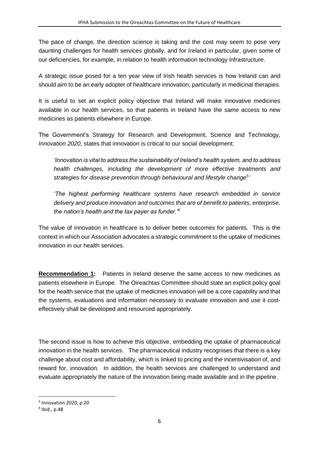The pace of change, the direction science is taking and the cost may seem to pose very daunting challenges for health services globally, and for Ireland in particular, given some of our deficiencies, for example, in relation to health information technology infrastructure.

A strategic issue posed for a ten year view of Irish health services is how Ireland can and should aim to be an early adopter of healthcare innovation, particularly in medicinal therapies.

It is useful to set an explicit policy objective that Ireland will make innovative medicines available in our health services, so that patients in Ireland have the same access to new medicines as patients elsewhere in Europe.

The Government's Strategy for Research and Development, Science and Technology, *Innovation 2020*, states that innovation is critical to our social development:

*'Innovation is vital to address the sustainability of Ireland's health system, and to address health challenges, including the development of more effective treatments and strategies for disease prevention through behavioural and lifestyle change<sup>5</sup> '*

*'The highest performing healthcare systems have research embedded in service delivery and produce innovation and outcomes that are of benefit to patients, enterprise, the nation's health and the tax payer as funder.'<sup>6</sup>*

The value of innovation in healthcare is to deliver better outcomes for patients. This is the context in which our Association advocates a strategic commitment to the uptake of medicines innovation in our health services.

**Recommendation 1:** Patients in Ireland deserve the same access to new medicines as patients elsewhere in Europe. The Oireachtas Committee should state an explicit policy goal for the health service that the uptake of medicines innovation will be a core capability and that the systems, evaluations and information necessary to evaluate innovation and use it costeffectively shall be developed and resourced appropriately.

The second issue is how to achieve this objective, embedding the uptake of pharmaceutical innovation in the health services. The pharmaceutical industry recognises that there is a key challenge about cost and affordability, which is linked to pricing and the incentivisation of, and reward for, innovation. In addition, the health services are challenged to understand and evaluate appropriately the nature of the innovation being made available and in the pipeline.

1

<sup>5</sup> Innovation 2020, p.20

<sup>6</sup> Ibid., p.48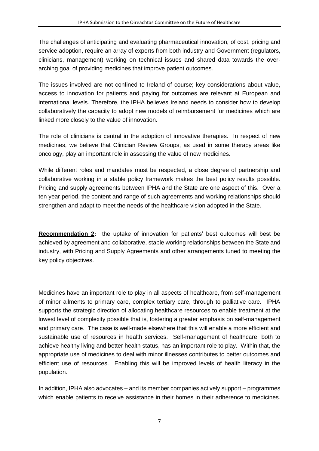The challenges of anticipating and evaluating pharmaceutical innovation, of cost, pricing and service adoption, require an array of experts from both industry and Government (regulators, clinicians, management) working on technical issues and shared data towards the overarching goal of providing medicines that improve patient outcomes.

The issues involved are not confined to Ireland of course; key considerations about value, access to innovation for patients and paying for outcomes are relevant at European and international levels. Therefore, the IPHA believes Ireland needs to consider how to develop collaboratively the capacity to adopt new models of reimbursement for medicines which are linked more closely to the value of innovation.

The role of clinicians is central in the adoption of innovative therapies. In respect of new medicines, we believe that Clinician Review Groups, as used in some therapy areas like oncology, play an important role in assessing the value of new medicines.

While different roles and mandates must be respected, a close degree of partnership and collaborative working in a stable policy framework makes the best policy results possible. Pricing and supply agreements between IPHA and the State are one aspect of this. Over a ten year period, the content and range of such agreements and working relationships should strengthen and adapt to meet the needs of the healthcare vision adopted in the State.

**Recommendation 2:** the uptake of innovation for patients' best outcomes will best be achieved by agreement and collaborative, stable working relationships between the State and industry, with Pricing and Supply Agreements and other arrangements tuned to meeting the key policy objectives.

Medicines have an important role to play in all aspects of healthcare, from self-management of minor ailments to primary care, complex tertiary care, through to palliative care. IPHA supports the strategic direction of allocating healthcare resources to enable treatment at the lowest level of complexity possible that is, fostering a greater emphasis on self-management and primary care. The case is well-made elsewhere that this will enable a more efficient and sustainable use of resources in health services. Self-management of healthcare, both to achieve healthy living and better health status, has an important role to play. Within that, the appropriate use of medicines to deal with minor illnesses contributes to better outcomes and efficient use of resources. Enabling this will be improved levels of health literacy in the population.

In addition, IPHA also advocates – and its member companies actively support – programmes which enable patients to receive assistance in their homes in their adherence to medicines.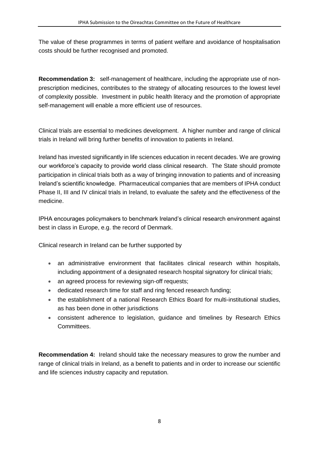The value of these programmes in terms of patient welfare and avoidance of hospitalisation costs should be further recognised and promoted.

**Recommendation 3:** self-management of healthcare, including the appropriate use of nonprescription medicines, contributes to the strategy of allocating resources to the lowest level of complexity possible. Investment in public health literacy and the promotion of appropriate self-management will enable a more efficient use of resources.

Clinical trials are essential to medicines development. A higher number and range of clinical trials in Ireland will bring further benefits of innovation to patients in Ireland.

Ireland has invested significantly in life sciences education in recent decades. We are growing our workforce's capacity to provide world class clinical research. The State should promote participation in clinical trials both as a way of bringing innovation to patients and of increasing Ireland's scientific knowledge. Pharmaceutical companies that are members of IPHA conduct Phase II, III and IV clinical trials in Ireland, to evaluate the safety and the effectiveness of the medicine.

IPHA encourages policymakers to benchmark Ireland's clinical research environment against best in class in Europe, e.g. the record of Denmark.

Clinical research in Ireland can be further supported by

- an administrative environment that facilitates clinical research within hospitals, including appointment of a designated research hospital signatory for clinical trials;
- an agreed process for reviewing sign-off requests;
- dedicated research time for staff and ring fenced research funding;
- the establishment of a national Research Ethics Board for multi-institutional studies, as has been done in other jurisdictions
- consistent adherence to legislation, guidance and timelines by Research Ethics Committees.

**Recommendation 4:** Ireland should take the necessary measures to grow the number and range of clinical trials in Ireland, as a benefit to patients and in order to increase our scientific and life sciences industry capacity and reputation.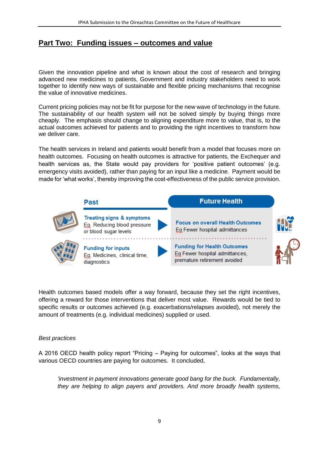## **Part Two: Funding issues – outcomes and value**

Given the innovation pipeline and what is known about the cost of research and bringing advanced new medicines to patients, Government and industry stakeholders need to work together to identify new ways of sustainable and flexible pricing mechanisms that recognise the value of innovative medicines.

Current pricing policies may not be fit for purpose for the new wave of technology in the future. The sustainability of our health system will not be solved simply by buying things more cheaply. The emphasis should change to aligning expenditure more to value, that is, to the actual outcomes achieved for patients and to providing the right incentives to transform how we deliver care.

The health services in Ireland and patients would benefit from a model that focuses more on health outcomes. Focusing on health outcomes is attractive for patients, the Exchequer and health services as, the State would pay providers for 'positive patient outcomes' (e.g. emergency visits avoided), rather than paying for an input like a medicine. Payment would be made for 'what works', thereby improving the cost-effectiveness of the public service provision.



Health outcomes based models offer a way forward, because they set the right incentives, offering a reward for those interventions that deliver most value. Rewards would be tied to specific results or outcomes achieved (e.g. exacerbations/relapses avoided), not merely the amount of treatments (e.g. individual medicines) supplied or used.

#### *Best practices*

A 2016 OECD health policy report "Pricing – Paying for outcomes", looks at the ways that various OECD countries are paying for outcomes. It concluded,

*'investment in payment innovations generate good bang for the buck. Fundamentally, they are helping to align payers and providers. And more broadly health systems,*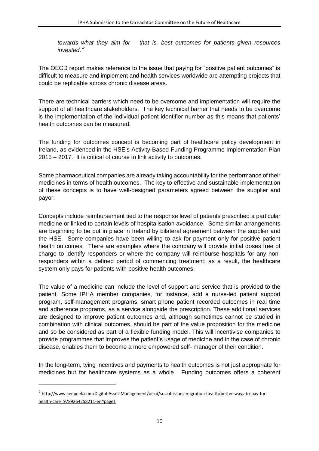*towards what they aim for – that is, best outcomes for patients given resources invested.'<sup>7</sup>*

The OECD report makes reference to the issue that paying for "positive patient outcomes" is difficult to measure and implement and health services worldwide are attempting projects that could be replicable across chronic disease areas.

There are technical barriers which need to be overcome and implementation will require the support of all healthcare stakeholders. The key technical barrier that needs to be overcome is the implementation of the individual patient identifier number as this means that patients' health outcomes can be measured.

The funding for outcomes concept is becoming part of healthcare policy development in Ireland, as evidenced in the HSE's Activity-Based Funding Programme Implementation Plan 2015 – 2017. It is critical of course to link activity to outcomes.

Some pharmaceutical companies are already taking accountability for the performance of their medicines in terms of health outcomes. The key to effective and sustainable implementation of these concepts is to have well-designed parameters agreed between the supplier and payor.

Concepts include reimbursement tied to the response level of patients prescribed a particular medicine or linked to certain levels of hospitalisation avoidance. Some similar arrangements are beginning to be put in place in Ireland by bilateral agreement between the supplier and the HSE. Some companies have been willing to ask for payment only for positive patient health outcomes. There are examples where the company will provide initial doses free of charge to identify responders or where the company will reimburse hospitals for any nonresponders within a defined period of commencing treatment; as a result, the healthcare system only pays for patients with positive health outcomes.

The value of a medicine can include the level of support and service that is provided to the patient. Some IPHA member companies, for instance, add a nurse-led patient support program, self-management programs, smart phone patient recorded outcomes in real time and adherence programs, as a service alongside the prescription. These additional services are designed to improve patient outcomes and, although sometimes cannot be studied in combination with clinical outcomes, should be part of the value proposition for the medicine and so be considered as part of a flexible funding model. This will incentivise companies to provide programmes that improves the patient's usage of medicine and in the case of chronic disease, enables them to become a more empowered self- manager of their condition.

In the long-term, tying incentives and payments to health outcomes is not just appropriate for medicines but for healthcare systems as a whole. Funding outcomes offers a coherent

1

<sup>&</sup>lt;sup>7</sup> [http://www.keepeek.com/Digital-Asset-Management/oecd/social-issues-migration-health/better-ways-to-pay-for](http://www.keepeek.com/Digital-Asset-Management/oecd/social-issues-migration-health/better-ways-to-pay-for-health-care_9789264258211-en#page1)[health-care\\_9789264258211-en#page1](http://www.keepeek.com/Digital-Asset-Management/oecd/social-issues-migration-health/better-ways-to-pay-for-health-care_9789264258211-en#page1)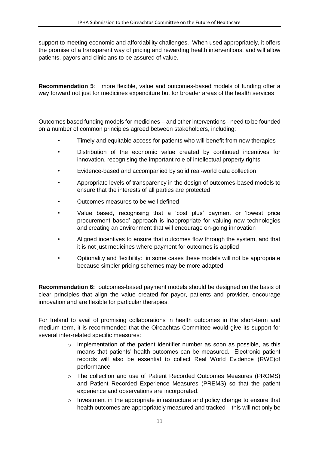support to meeting economic and affordability challenges. When used appropriately, it offers the promise of a transparent way of pricing and rewarding health interventions, and will allow patients, payors and clinicians to be assured of value.

**Recommendation 5**: more flexible, value and outcomes-based models of funding offer a way forward not just for medicines expenditure but for broader areas of the health services

Outcomes based funding models for medicines – and other interventions - need to be founded on a number of common principles agreed between stakeholders, including:

- Timely and equitable access for patients who will benefit from new therapies
- Distribution of the economic value created by continued incentives for innovation, recognising the important role of intellectual property rights
- Evidence-based and accompanied by solid real-world data collection
- Appropriate levels of transparency in the design of outcomes-based models to ensure that the interests of all parties are protected
- Outcomes measures to be well defined
- Value based, recognising that a 'cost plus' payment or 'lowest price procurement based' approach is inappropriate for valuing new technologies and creating an environment that will encourage on-going innovation
- Aligned incentives to ensure that outcomes flow through the system, and that it is not just medicines where payment for outcomes is applied
- Optionality and flexibility: in some cases these models will not be appropriate because simpler pricing schemes may be more adapted

**Recommendation 6:** outcomes-based payment models should be designed on the basis of clear principles that align the value created for payor, patients and provider, encourage innovation and are flexible for particular therapies.

For Ireland to avail of promising collaborations in health outcomes in the short-term and medium term, it is recommended that the Oireachtas Committee would give its support for several inter-related specific measures:

- $\circ$  Implementation of the patient identifier number as soon as possible, as this means that patients' health outcomes can be measured. Electronic patient records will also be essential to collect Real World Evidence (RWE)of performance
- $\circ$  The collection and use of Patient Recorded Outcomes Measures (PROMS) and Patient Recorded Experience Measures (PREMS) so that the patient experience and observations are incorporated.
- $\circ$  Investment in the appropriate infrastructure and policy change to ensure that health outcomes are appropriately measured and tracked – this will not only be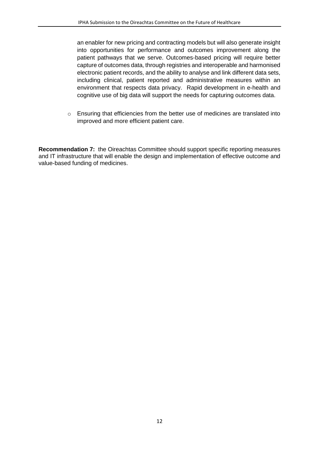an enabler for new pricing and contracting models but will also generate insight into opportunities for performance and outcomes improvement along the patient pathways that we serve. Outcomes-based pricing will require better capture of outcomes data, through registries and interoperable and harmonised electronic patient records, and the ability to analyse and link different data sets, including clinical, patient reported and administrative measures within an environment that respects data privacy. Rapid development in e-health and cognitive use of big data will support the needs for capturing outcomes data.

o Ensuring that efficiencies from the better use of medicines are translated into improved and more efficient patient care.

**Recommendation 7:** the Oireachtas Committee should support specific reporting measures and IT infrastructure that will enable the design and implementation of effective outcome and value-based funding of medicines.